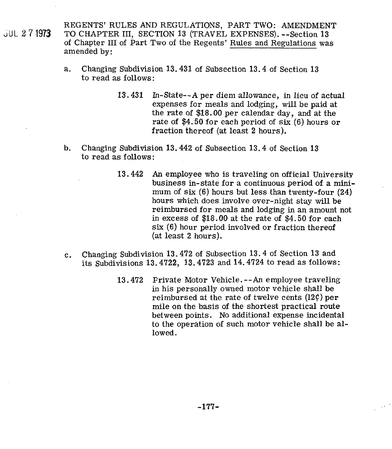REGENTS' RULES AND REGULATIONS, PART TWO: AMENDMENT ,UL **2** '7 1973 TO CHAPTER III. SECTION **13** (TRAVEL EXPENSES). --Section **13**  of Chapter III of Part Two of the Regents' Rules and Regulations was amended by:

- a. Changing Subdivision **13.431** of Subsection **13.4** of Section **13**  to read as follows:
	- **13.431** In-State--A per diem allowance, in lieu of actual expenses for meals and lodging, will be paid at the rate of **\$18.00** per calendar day, and at the rate of **\$4.50** for each period of six (6) hours or fraction thereof (at least **2** hours).
- b. Changing Subdivision **13.442** of Subsection **13.4** of Section **13**  to read **as** follows:
	- **13.442 An** employee who is traveling on official University business in-state for a continuous period of a minimum of six (6) hours but less than twenty-four **(24)**  hours which does involve over-night stay will be reimbursed for meals and lodging in an amount not in excess of **\$18.00** at the rate of **\$4.50** for each six (6) hour period involved or fraction thereof (at least **2** hours).
- c. Changing Subdivision **13.472** of Subsection **13.4** of Section **13** and its Subdivisions **13.4722, 13.4723** and **14.4724** to read as follows:
	- **13.472** Frivate Motor Vehicle.--An employee traveling in his personally owned motor vehicle shall be reimbursed at the rate of twelve cents  $(12\zeta)$  per mile on the basis of the shortest practical route between points. No additional expense incidental to the operation of such motor vehicle shall be allowed.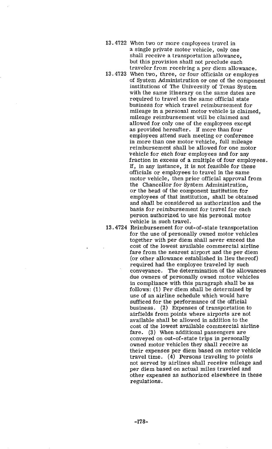- **13.4722** When two or more employees travel in a single private motor vehicle, only one shall receive a transportation allowance, but this provision shall not preclude each traveler from receiving a per diem allowance.
- **13.4723** When two, three, or four officials or employes of System Administration or one of the component institutions of The University of Texas System with the same itinerary on the same dates are required to travel on the same official state business for which travel reimbursement for mileage in a personal motor vehicle is claimed, mileage reimbursement will be claimed and allowed for only one of the employees except as provided hereafter. If more than four employees attend such meeting or conference in more than one motor vehicle, full mileage reimbursement shall be allowed for one motor vehicle for each four employees and for any fraction in excess of a multiple of four employees. If, in any instance, it is not feasible for these officials or employees to travel in the same motor vehicle, then prior official approval from the Chancellor for System Administration, or the head of the component institution for employees of that institution, shall be obtained and shall be considered as authorization and the basis for reimbursement for travel for each person authorized to use his personal motor vehicle in such travel.

**13.4724** Reimbursement for out-of-state transportation for the use of personally owned motor vehicles together with per diem shall never exceed the cost of the lowest available commercial airline fare from the nearest airport and the per diem (or other allowance established in lieu thereof) required had the employee traveled by such conveyance. The determination of the allowances due owners of personally owned motor vehicles in compliance with this paragraph shall be as follows: (1) Per diem shall be determined by use of an airline schedule which would have sufficed for the performance of the official business. **(2)** Expenses of transportation to airfields from points where airports are not available shall be allowed in addition to the cost of the lowest available commercial airline fare. **(3)** When additional passengers are conveyed on out-of-state trips in personally owned motor vehicles they shall receive as their expenses per diem based on motor vehicle travel time. (4) Persons traveling to points not served by airlines shall receive mileage and per diem based on actual miles traveled and other expenses as authorized elsewhere in these regulations.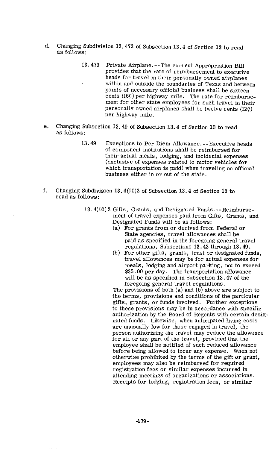- d. Changing Subdivision 13.473 of Subsection 13.4 of Section 13 to read as follows:
	- 13.473 Private Airplane. --The current Appropriation Bill provides that the rate of reimbursement to executive heads for travel in their personally owned airplanes within and outside the boundaries of Texas and between points of necessary official business shall be sixteen cents (16¢) per highway mile. The rate for reimbursement for other state employees for such travel in their personally owned airplanes shall be twelve cents (129) per highway mile.
- e. Changing Subsection 13.49 of Subsection 13.4 of Section 13 to read as follows :
	- 13.49 Exceptions to Per Diem Allowance. --Executive heads of component institutions shall be reimbursed for their actual meals, lodging, and incidental expenses (exclusive of expenses related to motor vehicles for which transportation is paid) when traveling on official business either in or out of the state.
- f. Changing Subdivision 13.4(10)2 of Subsection 13.4 of Section 13 to read as follows:
	- 13.4(10) 2 Gifts, Grants, and Designated Funds. --Reimbursement of travel expenses paid from Gifts, Grants, and Designated Funds will be as follows:
		- (a) For grants from or derived from Federal or State agencies, travel allowances shall be paid as specified in the foregoing general travel regulations, Subsections 13.43 through 13.49.
		- (b) For other gifts, grants, trust or designated funds, travel allowances may be for actual expenses for meals, lodging and airport parking, not to exceed \$35 .OO per day. The transportation allowance will be as specified in Subsection 13.47 of the foregoing general travel regulations.

The provisions of both (a) and (b) above are subject to the terms, provisions and conditions of the particular gifts, grants, or funds involved. Further exceptions to these provisions may be in accordance with specific authorization by the **Board** of Regents with certain designated funds. Likewise, when anticipated living costs are unusually low for those engaged in travel, the person authorizing the travel may reduce the allowance for all or any part of the travel, provided that the employee shall be notified of such reduced allowance before being allowed to incur any expense. When not otherwise prohibited by the terms of the gift or grant, employees may also be reimbursed for required registration fees or similar expenses incurred in attending meetings of organizations or associations. Receipts for lodging, registration fees, or similar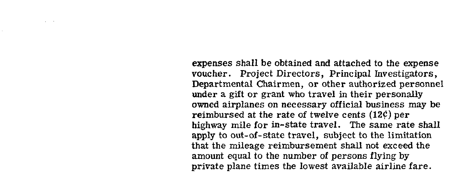expenses shall be obtained and attached to the expense voucher. Project Directors, Principal Investigators, Departmental Chairmen, or other authorized personnel under a gift or grant who travel in their personally owned airplanes on necessary official business may be reimbursed at the rate of twelve cents **(12C)** per highway mile for in-state travel. The same rate shall apply to out-of-state travel, subject to the limitation that the mileage reimbursement shall not exceed the amount equal to the number of persons flying by private plane times the lowest available airline fare.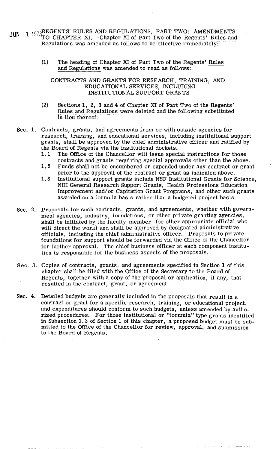- JUN 1 1973 REGENTS' RULES AND REGULATIONS, PART TWO: AMENDMENTS<br>TO CHAPTER XI. --Chapter XI of Part Two of the Regents' Rules and Regulations was amended as follows to be effective immediately: REGENTS' RULES AND REGULATIONS, PART TWO: AMENDMENTS<br>TO CHAPTER XI. --Chapter XI of Part Two of the Regents' Rules and<br>Regulations was amended as follows to be effective immediately:<br>(1) The heading of Chapter XI of Part T
	- and Regulations was amended to read as follows:

CONTRACTS AND GRANTS FOR RESEARCH, TRAINING, AND EDUCATIONAL SERVICES, INCLUDING INSTITUTIONAL SUPPORT GRANTS

- (2) Sections 1, 2, 3 and **4** of Chapter XI of Part Two of the Regents' Rules and kegulations were deleted and the following substituted in lieu thereof:
- Sec. 1. Contracts, grants, and agreements from or with outside agencies for research, training, and educational services, including institutional support grants, shall be approved by the chief administrative officer and ratified by the Board of Regents via the institutional dockets.
	- 1.1 The Office of the Chancellor will issue special instructions for those contracts and grants requiring special approvals other than the above.
	- 1.2 Funds shall not be encumbered or expended under any contract or grant prior to the approval of the contract or grant as indicated above.
	- 1.3 Institutional support grants include NSF Institutional Grants for Science, NIH General Research Support Grants, Health Professions Education Improvement and/or Capitation Grant Programs, and other such grants awarded on a formula basis rather than a budgeted project basis.
- Sec. 2. Proposals for such contracts, grants, and agreements, whether with government agencies, industry, foundations, or other private granting agencies, shall be initiated by the faculty member (or other appropriate official who will direct the work) and shall be approved by designated administrative officials, including the chief administrative officer. Proposals to private foundations for support should be forwarded via the Office of the Chancellor for further approval. The chief business officer at each component institution is responsible for the business aspects of the proposals.
- Sec. 3. Copies of contracts, grants, and agreements specified in Section 1 of this chapter shall be filed with the Office of the Secretary to the Board of Regents, together with a copy of the proposal or application, if any, that resulted in the contract, grant, or agreement.
- Sec. 4. Detailed budgets are generally included in the proposals that result in a contract or grant for a specific research, training, or educational project, and expenditures should conform to such budgets, unless amended by authorized procedures. For those institutional or "formula" type grants identified in Subsection 1.3 of Section 1 of this chapter, a proposed budget must be submitted to the Office of the Chancellor for review, approval, and submission to the Board of Regents.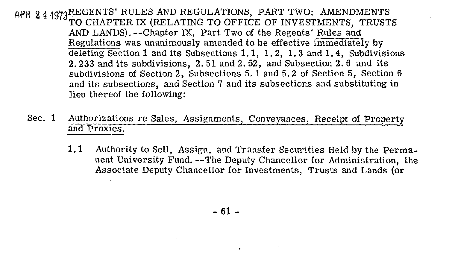AFR 24 1973REGENTS' RULES AND REGULATIONS, PART TWO: AMENDMENTS TO CHAPTER IX (RELATING TO OFFICE OF INVESTMENTS, TRUSTS AND LANDS). --Chapter **M,** Part Two of the Regents' Rules and Regulations was unanimously amended to be effective immediately by deleting Section **1** and its Subsections 1.1, 1.2, 1.3 and 1.4, Subdivisions 2.233 and its subdivisions, 2.51 and 2.52, and Subsection 2.6 and its subdivisions of Section 2, Subsections 5. 1 and 5.2 of Section 5, Section 6 and its subsections, and Section 7 and its subsections and substituting in lieu thereof the following:

- Sec. 1 Authorizations re Sales, Assignments, Conveyances, Receipt of Property and Proxies.
	- 1.1 Authority to Sell, Assign, and Transfer Securities Held by the Permanent University Fund. --The Deputy Chancellor for Administration, the Associate Deputy Chancellor for Investments, Trusts and Lands (or

 $-61 -$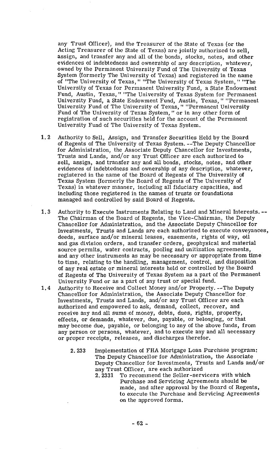any. Trust Officer), and the Treasurer of the State of Texas (or the Acting Treasurer of the State of Texas) are jointly authorized to sell, assign, and transfer any and all of the bonds, stocks, notes, and other evidences of indebtedness and ownership of any description, whatever, owned by the Permanent University Fund of The University of Texas System (formerly The University of Texas) and registered in the name of "The University of Texas, " "The University of Texas System, **I'** "The University of Texas for Permanent University Fund, a State Endowment Fund, Austin, Texas, " "The University of Texas System for Permanent University Fund, a State Endowment Fund, Austin, Texas, " "Permanent University Fund of The University of Texas, " "Permanent University Fund of The University of Texas System, " or in any other form of registration of such securities held for the account of the Permanent University Fund of The University of Texas System.

- **1.2** Authority to Sell, Assign, and Transfer Securities Held by the Board of Regents of The University of Texas System. --The Deputy Chancellor for Administration, the Associate Deputy Chancellor for Investments, Trusts and Lands, and/or any Trust Officer are each authorized to sell, assign, and transfer any and all bonds, stocks, notes, and other evidences of indebtedness and ownership of any description, whatever, registered in the name of the Board of Regents of The University of Texas System (formerly the Board of Regents of The University of Texas) in whatever manner, including all fiduciary capacities, and including those registered in the names of trusts or foundations managed and controlled by said Board of Regents.
- **1.3** Authority to Execute Instruments Relating to Land and Mineral Interests. -- The Chairman of the Board of Regents, the Vice-chairman, the Deputy Chancellor for Administration, and the Associate Deputy Chancellor for Investments, Trusts and Lands are each authorized to execute conveyances, deeds, surface and/or mineral leases, easements, rights of way, oil and gas division orders, and transfer orders, geophysical and material source permits, water contracts, pooling and unitization agreements, and any other instruments as may be necessary or appropriate from time to time, relating to the handling, management, control, and disposition of any real estate or mineral interests held or controlled by the Board of Regents of The University of Texas System as a part of the Permanent University Fund or as a part of any trust or special fund.
- **1.4** Authority to Receive and Collect Money and/or Property. --The Deputy Chancellor for Administration, the Associate Deputy Chancellor for Investments, Trusts and Lands, and/or any Trust Officer are each authorized and empowered to ask, demand, collect, recover, and receive any and all sums of money, debts, dues, rights, property, effects, or demands, whatever, due, payable, or belonging, or that may become due, payable, or belonging to any of the above funds, from any person or persons, whatever, and to execute any and all necessary or proper receipts, releases, and discharges therefor.
	- **2.233** Implementation of FHA Mortgage Loan Purchase program: The Deputy Chancellor for Administration, the Associate Deputy Chancellor for Investments, Trusts and Lands and/or any Trust Officer, are each authorized<br>2.2331 To recommend the Seller-serv
		- To recommend the Seller-servicers with which Purchase and Servicing Agreements should be made, and after approval by the Board of Regents, to execute the Purchase and Servicing Agreements on the approved forms.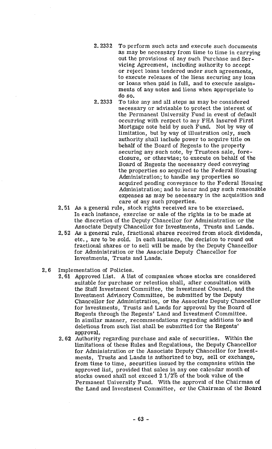- 2.2332 To perform such acts and execute such documents as may be necessary from time to time in carrying out the provisions of any such Purchase and Servicing Agreement, including authority to accept or reject loans tendered under such agreements, to execute releases of the liens securing any loan or loans when paid in full, and to execute assignments of any notes and liens when appropriate to do so.
- 2.2333 To take any and all steps as may be considered necessary or advisable to protect the interest of the Permanent University Fund in event of default occurring with respect to any FHA Insured First Mortgage note held by such Fund. Not by way of limitation, but by way of illustration only, such authority shall include power to acquire title on behalf of the Board of Regents to the property securing any such note, by Trustees sale, foreclosure, or otherwise; to execute on behalf of the Board of Regents the necessary deed conveying the properties so acquired to the Federal Housing Administration; to handle any properties so acquired pending conveyance to the Federal Housing Administration; and to incur and pay such reasonable expenses as may be necessary in the acquisition and care of any such properties.
- *As* a general rule, stock rights received are to be exercised. In each instance, exercise or sale of the rights is to be made at the discretion of the Deputy Chancellor for Administration or the Associate Deputy Chancellor for Investments, Trusts and Lands.
- As a general rule, fractional shares received from stock dividends, etc., are to be sold. In each instance, the decision to round out fractional shares or to sell will be made by the Deputy Chancellor for Administration or the Associate Deputy Chancellor for Investments, Trusts and Lands.
- 2.6 Imolementation of Policies.
	- 2.61 Approved List. A list of companies whose stocks are considered suitable for purchase or retention shall, after consultation with the Staff Investment Committee, the Investment Counsel, and the Investment Advisory Committee, be submitted by the Deputy Chancellor for Administration, or the Associate Deputy Chancellor for Investments, Trusts and Lands for approval by the Board of Regents through the Regents' Land and Investment Committee. In similar manner, recommendations regarding additions to and deletions from such list shall be submitted for the Regents' approval.
	- 2.62 Authority regarding purchase and sale of securities. Within the limitations of these Rules and Regulations, the Deputy Chancellor for Administration or the Associate Deputy Chancellor for Investments, Trusts and Lands is authorized to buy, sell or exchange, from time to time, securities issued by the companies within the approved list, provided that sales in any one calendar month of stocks owned shall not exceed  $2\frac{1}{2}\%$  of the book value of the Permanent University Fund. With the approval of the Chairman of the Land and Investment Committee, or the Chairman of the Board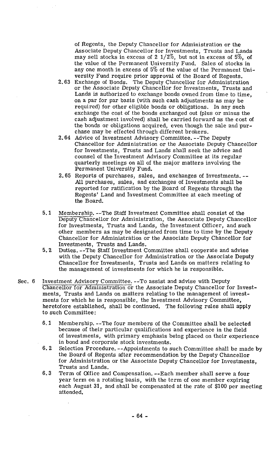of Regents, the Deputy Chancellor for Administration or the Associate Deputy Chancellor for Investments, Trusts and Lands may sell stocks in excess of 2 1/2%, but not in excess of 5%, of the value of the Permanent University Fund. Sales of stocks in any one month in excess of 5% of the value of the Permanent University Fund require prior approval of the Board of Regents.

- 2.63 Exchange of Bonds. The Deputy Chancellor for Administration or the Associate Deputy Chancellor for Investments, Trusts and Lands is authorized to exchange bonds owned from time to time. on a par for par basis (with such cash adjustments as may be required) for other eligible bonds or obligations. In any such exchange the cost of the bonds exchanged out (plus or minus the cash adjustment involved) shall be carried forward as the cost of the bonds or obligations acquired, even though the sale and purchase may be effected through different brokers.
- 2.64 Advice of Investment Advisory Committee. --The Deputy Chancellor for Administration or the Associate Deputy Chancellor for Investments, Trusts and Lands shall seek the advice and counsel of the Investment Advisory Committee at its regular quarterly meetings on all of the major matters involving the Permanent University Fund.
- 2.65 Reports of purchases, sales, and exchanges of Investments. -- All purchases, sales, and exchanges of Investments shall be reported for ratification by the Board of Regents through the Regents' Land and Investment Committee at each meeting of the Board.
- 5.1 Membership. --The Staff Investment Committee shall consist of the Deputy Chancellor for Administration, the Associate Deputy Chancellor for Investments, Trusts and Lands, the Investment Officer, and such other members as may be designated from time to time by the Deputy Chancellor for Administration or the Associate Deputy Chancellor for Investments, Trusts and Lands.
- 5.2 Duties. --The Staff Investment Committee shall cooperate and advise with the Deputy Chancellor for Administration or the Associate Deputy Chancellor for Investments, Trusts and Lands on matters relating to the management of investments for which he is responsible.
- Sec. 6 Investment Advisory Committee. --To assist and advise with Deputy Chancellor for Administration or the Associate Deputy Chancellor for Investments, Trusts and Lands on matters relating to the management of investments for which he is responsible, the Investment Advisory Committee, heretofore established, shall be continued. The following rules shall apply to such Committee:
	- 6.1 Membership. --The four members of the Committee shall be selected because of their particular qualifications and experience in the field of investments, with primary emphasis being placed on their experience in bond and corporate stock investments.
	- 6.2 Selection Procedure. --Appointments to such Committee shall be made by the Board of Regents after recommendation by the Deputy Chancellor for Administration or the Associate Deputy Chancellor for Investments, Trusts and Lands.
	- 6.3 Term of Office and Compensation. --Each member shall serve a four year term on a rotating basis, with the term of one member expiring each August 31, and shall be compensated at the rate of \$100 per meeting attended.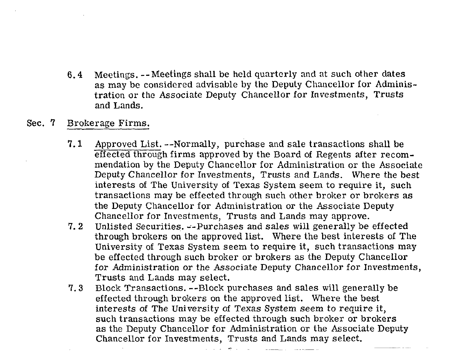- **6.4** Meetings. --Meetings shall be held quarterly and at such other dates as may be considered advisable by the Deputy Chancellor for Administration or the Associate Deputy Chancellor for Investments, Trusts and Lands.
- Sec. **7** Brokerage Firms.
	- **7.1** Approved List. --Normally, purchase and sale transactions shall be effected through firms approved by the Board of Regents after recommendation by the Deputy Chancellor for Administration or the Associate Deputy Chancellor for Investments, Trusts and Lands. Where the best interests of The University of Texas System seem to require it, such transactions may be effected through such other broker or brokers as the Deputy Chancellor for Administration or the Associate Deputy Chancellor for Investments, Trusts and Lands may approve.
	- **7.** 2 Unlisted Securities. --Purchases and sales will generally be effected through brokers on the approved list. Where the best interests of The University of Texas System seem to require it, such transactions may be effected through such broker or brokers as the Deputy Chancellor for Administration or the Associate Deputy Chancellor for Investments, Trusts and Lands may select.
	- **7.3** Block Transactions. --Block purchases and sales will generally be effected through brokers on the approved list. Where the best interests of The University of Texas System seem to require it, such transactions may be effected through such broker or brokers as the Deputy Chancellor for Administration or the Associate Deputy Chancellor for Investments, Trusts and Lands may select.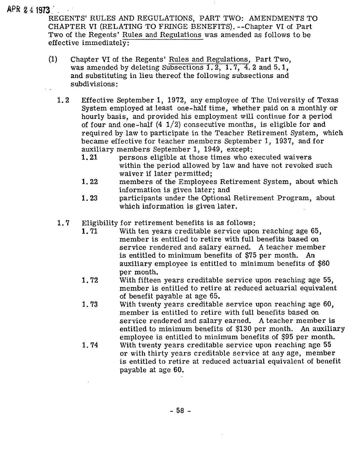## AWi **8 4 1973** '

REGENTS' RULES AND REGULATIONS, PART TWO: AMENDMENTS TO CHAPTER VI (RELATING TO FRINGE BENEFITS). --Chapter VI of Part Two of the Regents' Rules and Regulations was amended as follows to be effective immediately:

- (1) Chapter VI of the Regents' Rules and Regulations, Part Two, was amended by deleting Subsections 1.2, 1.7, 4.2 and 5.1, and substituting in lieu thereof the following subsections and subdivisions:
	- $1.2$ Effective September 1, 1972, any employee of The University of Texas System employed at least one-half time, whether paid on a monthly or hourly basis, and provided his employment will continue for a period of four and one-half  $(4\ 1/2)$  consecutive months, is eligible for and required by law to participate in the Teacher Retirement System, which became effective for teacher members September 1, 1937, and for auxiliary members September 1, 1949, except:
		- persons eligible at those times who executed waivers within the period allowed by law and have not revoked such waiver if later permitted;
		- 1.22 members of the Employees Retirement System, about which information is given later; and
		- 1.23 participants under the Optional Retirement Program, about which information is given later.
	- 1.7 Eligibility for retirement benefits is as follows:<br>1.71 With ten years creditable service upon
		- With ten years creditable service upon reaching age 65, member is entitled to retire with full benefits based on service rendered and salary earned. A teacher member is entitled to minimum benefits of \$75 per month. An auxiliary employee is entitled to minimum benefits of \$60 per month.
		- 1.72 With fifteen years creditable service upon reaching age 55, member is entitled to retire at reduced actuarial equivalent of benefit payable at age 65.
		- 1.73 With twenty years creditable service upon reaching age 60, member is entitled to retire with full benefits based on service rendered and salary earned. A teacher member is entitled to minimum benefits of \$130 per month. An auxiliary employee is entitled to minimum benefits of \$95 per month.
		- 1.74 With twenty years creditable service upon reaching age 55 or with thirty years creditable service at any age, member is entitled to retire at reduced actuarial equivalent of benefit payable at age 60.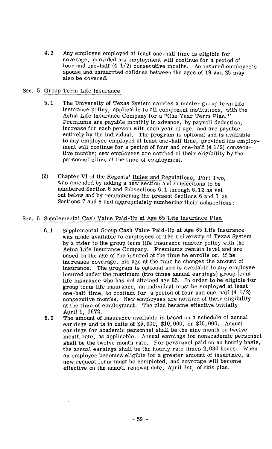4.2 Any employee employed at least one-half time is eligible for coverage, provided his employment will continue for a period of four and one-half  $(4 \t1/2)$  consecutive months. An insured employee's spouse and unmarried children between the ages of 19 and 25 may also be covered.

## Sec. 5 Group Term Life Insurance

- 5.1 The University of Texas System carries a master group term life insurance policy, applicable to all component institutions, with the Aetna Life Insurance Company for a "One Year Term Plan. " Premiums are payable monthly in advance, by payroll deduction, increase for each person with each year of age, and are payable entirely by the individual. The program is optional and is available to any employee employed at least one-half time, provided his employment will continue for a period of four and one-half  $(4\ 1/2)$  consecutive months; new employees are notified of their eligibility by the personnel office at the time of employment.
- (2) Chapter VI of the Regents' Rules and Regulations, Part Two, was amended by adding a new section and subsections to be numbered Section 6 and Subsections 6.1 through 6.12 as set out below and by renumbering the present Sections 6 and 7 as Sections 7 and 8 and appropriately numbering their subsections:

## Sec. 6 Supplemental Cash Value Paid-Up at Age 65 Life Insurance Plan

- 6.1 Supplemental Group Cash Value Paid-Up at Age 65 Life Insurance was made available to employees of The University of Texas System by a rider to the group term life insurance master policy with the Aetna Life Insurance Company. Premiums remain level and are based on the age of the insured at the time he enrolls or, if he increases coverage, his age at the time he changes the amount of insurance. The program is optional and is available to any employee insured under the maximum (two times annual earnings) group term life insurance who has not attained age 65. In order to be eligible for group term life insurance, an individual must be employed at least one-half time, to continue for a period of four and one-half  $(4\ 1/2)$ consecutive months. New employees are notified of their eligibility at the time of employment. The plan became effective initially April 1, 1972.
- 6.2 The amount of insurance available is based on a schedule of annual earnings and is in units of \$5,000, \$10,000, or \$15,000. Annual earnings for academic personnel shall be the nine month or twelve month rate, as applicable. Annual earnings for nonacademic personnel shall be the twelve month rate. For personnel paid on an hourly basis, the annual earnings shall be the hourly rate times 2,080 hours. When an employee becomes eligible for a greater amount of insurance, a new request form must be completed, and coverage will become effective on the annual renewal date, April lst, of this plan.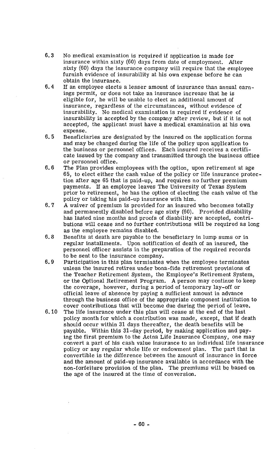- $6.3$ No medical examination is required if application is made for insurance within sixty (60) days from date of employment. After sixty (60) days the insurance company will require that the employee furnish evidence of insurability at his own expense before he can obtain the insurance.
- $6.4$ If an employee elects a lesser amount of insurance than annual earnings permit, or does not take an insurance increase that he is eligible for, he will be unable to elect an additional amount of insurance, regardless of the circumstances, without evidence of insurability. No medical examination is required if evidence of insurability is accepted by the company after review, but if it is not accepted, the applicant must have a medical examination at his own expense.
- $6.5$ Beneficiaries are designated by the insured on the application forms and may be changed during the life of the policy upon application to the business or personnel offices. Each insured receives a certificate issued by the company and transmitted through the business office or personnel office.
- $6.6$ The Plan provides employees with the option, upon retirement at age 65, to elect either the cash value of the policy or life insurance protection after age 65 that is paid-up, and requires no further premium payments. If an employee leaves The University of Texas System prior to retirement, he has the option of electing the cash value of the policy or taking his paid-up insurance with him.
- $6.7$ **A** waiver of premium is provided for an insured who becomes totally and permanently disabled before age sixty (60). Provided disability has lasted nine months and proofs of disability are accepted, contributions will cease and no further contributions will be required as long as the employee remains disabled.
- $6.8$ Benefits at death are payable to the beneficiary in lump sums or in regular installments. Upon notification of death of an insured, the personnel officer assists in the preparation of the required records to be sent to the insurance company.
- $6.9$ Participation in this plan terminates when the employee terminates unless the insured retires under bona-fide retirement provisions of the Teacher Retirement System, the Employee's Retirement System, or the Optional Retirement Program. A person may continue to keep the coverage, however, during a period of temporary lay-off or official leave of absence by paying a sufficient amount in advance through the business office of the appropriate component institution to cover contributions that will become due during the period of leave.
- $6.10$ The life insurance under this plan will cease at the end of the last policy month for which a contribution was made, except, that if death should occur within 31 days thereafter, the death benefits will be payable. Within this 31-day period, by making application and paying the first premium to the Aetna Life Insurance Company, one may convert a part of his cash value insurance to an individual life insurance policy or any regular whole life or endowment plan. The part that is convertible is the difference between the amount of insurance in force and the amount of paid-up insurance available in accordance with the non-forfeiture provision of the plan. The premiums will be based on the age of the insured at the time of conversion.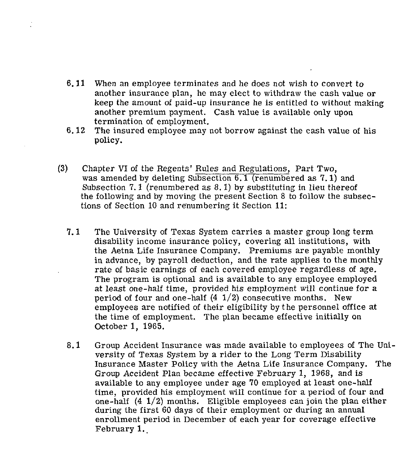- 6.11 When an employee terminates and he does not wish to convert to another insurance plan, he may elect to withdraw the cash value or keep the amount of paid-up insurance he is entitled to without making another premium payment. Cash value is available only upon termination of employment.
- 6.12 The insured employee may not borrow against the cash value of his policy.
- **(3)** Chapter VI of the Regents' Rules and Regulations, Part Two, was amended by deleting Subsection 6.1 (renumbered as 7.1) and Subsection 7.1 (renumbered as 8.1) by substituting in lieu thereof the following and by moving the present Section 8 to follow the subsections of Section 10 and renumbering it Section 11:
	- **7.1** The University of Texas System carries a master group long term disability income insurance policy, covering all institutions, with the Aetna Life Insurance Company. Premiums are payable monthly in advance, by payroll deduction, and the rate applies to the monthly rate of basic earnings of each covered employee regardless of age. The program is optional and is available to any employee employed at least one-half time, provided his employment will continue for a period of four and one-half  $(4\ 1/2)$  consecutive months. New employees are notified of their eligibility by the personnel office at the time of employment. The plan became effective initially on October 1, 1965.
	- 8.1 Group Accident Insurance was made available to employees of The University of Texas System by a rider to the Long Term Disability Insurance Master Policy with the Aetna Life Insurance Company. The Group Accident Plan became effective February 1, 1968, and is available to any employee under age 70 employed at least one-half time, provided his employment will continue for a period of four and one-half  $(4 \frac{1}{2})$  months. Eligible employees can join the plan either during the first 60 days of their employment or during an annual enrollment period in December of each year for coverage effective February **1..**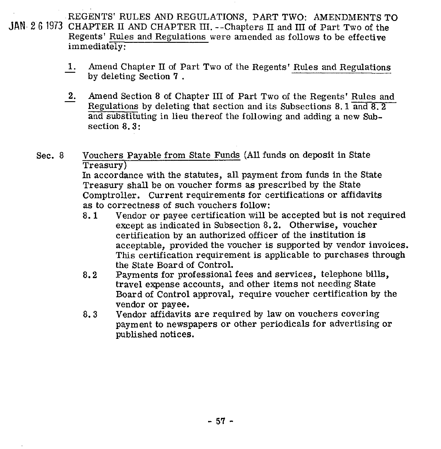**JAN. 2** 6 1973 CHAPTER I1 AND CHAPTER 111. --Chapters I1 and I11 of Part Two of the REGENTS' RULES AND REGULATIONS, PART TWO: AMENDMENTS TO Regents' Rules and Regulations were amended as follows to be effective immediately:

- **1.** Amend Chapter **11** of Part Two of the Regents' Rules and Regulations by deleting Section 7 .
- $\begin{array}{c} & 1 \\ 2 & 1 \end{array}$ 2. Amend Section 8 of Chapter III of Part Two of the Regents' Rules and Regulations by deleting that section and its Subsections 8.1 and 8.2 and substituting in lieu thereof the following and adding a new Subsection 8.3:

Sec. 8 Vouchers Payable from State Funds (All funds on deposit in State Treasurv)

In accordance with the statutes, all payment from funds in the State Treasury shall be on voucher forms as prescribed by the State Comptroller. Current requirements for certifications or affidavits as to correctness of such vouchers follow:

- 8.1 Vendor or payee certification will be accepted but is not required except as indicated in Subsection 8.2. Otherwise, voucher certification by an authorized officer of the institution is acceptable, provided the voucher is supported by vendor invoices. This certification requirement is applicable to purchases through the State Board of Control.
- 8.2 Payments for professional fees and services, telephone bills, travel expense accounts, and other items not needing State Board of Control approval, require voucher certification by **the**  vendor or payee.
- 8.3 Vendor affidavits are required by law on vouchers covering payment to newspapers or other periodicals for advertising or published notices.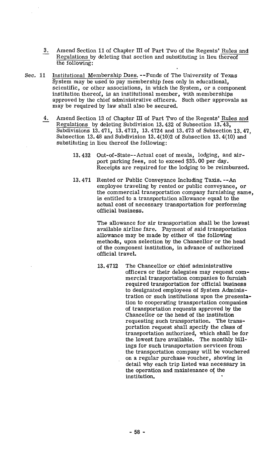- $3<sub>1</sub>$ Amend Section 11 of Chapter III of Part Two of the Regents' Rules and Regulations by deleting that section and substituting in lieu thereof the following:
- Sec. 11 Institutional Membership Dues. --Funds of The University of Texas System may be used to pay membership fees only in educational, scientific, or other associations, in which the System, or a component institution thereof, is an institutional member, with memberships approved by the chief administrative officers. Such other approvals as may be required by law shall also be secured.
	- $4.$ Amend Section 13 of Chapter III of Part Two of the Regents' Rules and Regulations by deleting Subdivision 13.432 of Subsection 13.43, Subdivisions 13.471, 13.4712, 13.4724 and 13.473 of Subsection 13.47, Subsection 13.48 and Subdivision 13.4(10)2 of Subsection 13.4(10) and substituting in lieu thereof the following:
		- 13.432 Out-of-State--Actual cost of meals, lodging, and airport parking fees, not to exceed \$35.00 per day. Receipts are required for the lodging to be reimbursed.
		- 13.471 Rented or Public Conveyance Including Taxis. --An employee traveling by rented or public conveyance, or the commercial transportation company furnishing same, is entitled to a transportation allowance equal to the actual cost of necessary transportation for performing official business.

The allowance for air transportation shall be the lowest available airline fare. Payment of said transportation allowance may be made by either of the following methods, upon selection by the Chancellor or the head of the component institution, in advance of authorized official travel.

13.4712 The Chancellor or chief administrative officers or their delegates may request commercial transportation companies to furnish required transportation for official business to designated employees of System Administration or such institutions upon the presentation to cooperating transportation companies of transportation requests approved by the Chancellor or the head of the institution requesting such transportation. The transportation request shall specify the class of transportation authorized, which shall be for the lowest fare available. The monthly billings for such transportation services from the transportation company will be vouchered on a regular purchase voucher, showing in detail why each trip listed was necessary in the operation and maintenance of the institution.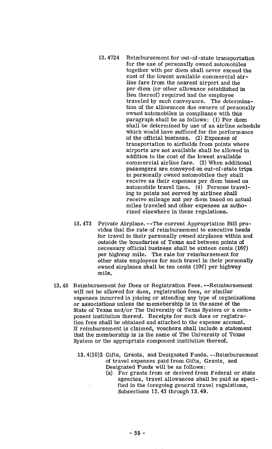- 13.4724 Reimbursement for out-of -state transportation for the use of personally owned automobiles together with per diem shall never exceed the cost of the lowest available commercial airline fare from the nearest airport and the per diem (or other allowance established in lieu thereof) required had the employee traveled by such conveyance. The determination of the allowances due owners of personally owned automobiles in compliance with this paragraph shall be as follows: (1) Per diem shall be determined by use of an airline schedule which would have sufficed for the performance of the official business. (2) Expenses of transportation to airfields from points where airports are not available shall be allowed in addition to the cost of the lowest available commercial airline fare. (3) When additional passengers are conveyed on out-of-state trips in personally owned automobiles they shall receive as their expenses per diem based on automobile travel time. (4) Persons traveling to points not served by airlines shall receive mileage and per diem based on actual miles traveled and other expenses as authorized elsewhere in these regulations.
- 13.473 Private Airplane. --The current Appropriation Bill provides that the rate of reimbursement to executive heads for travel in their personally owned airplanes within and outside the boundaries of Texas and between points of necessary official business shall be sixteen cents **(16q)**  per highway mile. The rate for reimbursement for other state employees for such travel in their personally owned airplanes shall be ten cents  $(10 \zeta)$  per highway mile.
- 13.48 Reimbursement for Dues or Registration Fees. --Reimbursement will not be allowed for dues, registration fees, or similar expenses incurred in joining or attending any type of organizations or associations unless the memebership is in the name of the State of Texas and/or The University of Texas System or a component institution thereof, Receipts for such dues or registration fees shall be obtained and attached to the expense account. If reimbursement is claimed, vouchers shall include a statement that the membership is in the name of The University of Texas System or the appropriate component institution thereof.
	- 13.4(10)2 Gifts, Grants, and Designated Funds. --Reimbursement of travel expenses paid from Gifts, Grants, and Designated Funds will be as follows:
		- (a) For grants from or derived from Federal or state agencies, travel allowances shall be paid as specified in the foregoing general travel regulations, Subsections 13.43 through 13.49.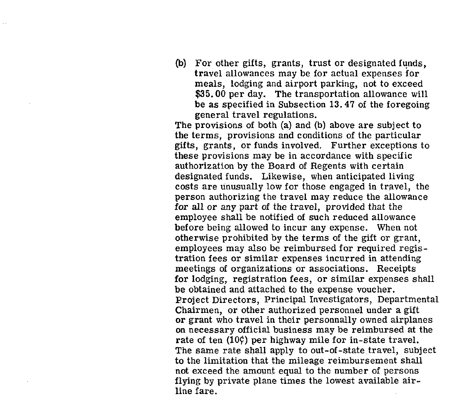(b) For other gifts, grants, trust or designated funds, travel allowances may be for actual expenses for meals, lodging and airport parking, not to exceed \$35.00 per day. The transportation allowance will be as specified in Subsection 13.47 of the foregoing general travel regulations.

The provisions of both (a) and (b) above are subject to the terms, provisions and conditions of the particular gifts, grants, or funds involved. Further exceptions to these provisions may be in accordance with specific authorization by the Board of Regents with certain designated funds. Likewise, when anticipated living costs are unusually low for those engaged in travel, the person authorizing the travel may reduce the allowance for all or any part of the travel, provided that the employee shall be notified of such reduced allowance before being allowed to incur any expense. When not otherwise prohibited by the terms of the gift or grant, employees may also be reimbursed for required registration fees or similar expenses incurred in attending meetings of organizations or associations. Receipts for lodging, registration fees, or similar expenses shall be obtained and attached to the expense voucher. Project Directors, Principal Investigators, Departmental Chairmen, or other authorized personnel under a gift or grant who travel in their personnally owned airplanes on necessary official business may be reimbursed at the rate of ten  $(10\zeta)$  per highway mile for in-state travel. The same rate shall apply to out-of-state travel, subject to the limitation that the mileage reimbursement shall not exceed the amount equal to the number of persons flying by private plane times the lowest available airline fare.